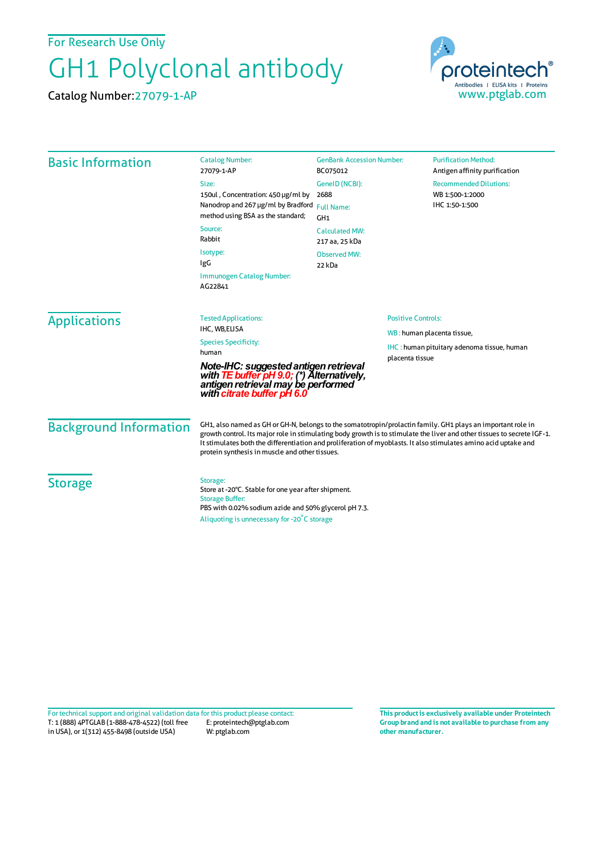For Research Use Only

## GH1 Polyclonal antibody

Catalog Number:27079-1-AP



| <b>Basic Information</b>      | <b>Catalog Number:</b><br>27079-1-AP                                                                                                                                                                                                                                                                                                                                                                        | <b>GenBank Accession Number:</b><br>BC075012                                                              | <b>Purification Method:</b><br>Antigen affinity purification             |
|-------------------------------|-------------------------------------------------------------------------------------------------------------------------------------------------------------------------------------------------------------------------------------------------------------------------------------------------------------------------------------------------------------------------------------------------------------|-----------------------------------------------------------------------------------------------------------|--------------------------------------------------------------------------|
|                               | Size:<br>150ul, Concentration: 450 µg/ml by<br>Nanodrop and 267 µg/ml by Bradford Full Name:<br>method using BSA as the standard;<br>Source:<br>Rabbit<br>Isotype:<br>IgG<br>Immunogen Catalog Number:<br>AG22841                                                                                                                                                                                           | GenelD (NCBI):<br>2688<br>GH1<br><b>Calculated MW:</b><br>217 aa, 25 kDa<br><b>Observed MW:</b><br>22 kDa | <b>Recommended Dilutions:</b><br>WB 1:500-1:2000<br>IHC 1:50-1:500       |
| <b>Applications</b>           | <b>Tested Applications:</b><br>IHC, WB,ELISA<br><b>Species Specificity:</b><br>human<br>Note-IHC: suggested antigen retrieval<br>with <b>TE buffer pH 9.0;</b> (*) Alternatively,<br>antigen retrieval may be performed<br>with citrate buffer pH 6.0                                                                                                                                                       | <b>Positive Controls:</b><br>placenta tissue                                                              | WB: human placenta tissue,<br>IHC: human pituitary adenoma tissue, human |
| <b>Background Information</b> | GH1, also named as GH or GH-N, belongs to the somatotropin/prolactin family. GH1 plays an important role in<br>growth control. Its major role in stimulating body growth is to stimulate the liver and other tissues to secrete IGF-1.<br>It stimulates both the differentiation and proliferation of myoblasts. It also stimulates amino acid uptake and<br>protein synthesis in muscle and other tissues. |                                                                                                           |                                                                          |
| <b>Storage</b>                | Storage:<br>Store at -20°C. Stable for one year after shipment.<br><b>Storage Buffer:</b><br>PBS with 0.02% sodium azide and 50% glycerol pH 7.3.<br>Aliquoting is unnecessary for -20°C storage                                                                                                                                                                                                            |                                                                                                           |                                                                          |

T: 1 (888) 4PTGLAB (1-888-478-4522) (toll free in USA), or 1(312) 455-8498 (outside USA) E: proteintech@ptglab.com W: ptglab.com Fortechnical support and original validation data forthis product please contact: **This productis exclusively available under Proteintech**

**Group brand and is not available to purchase from any other manufacturer.**